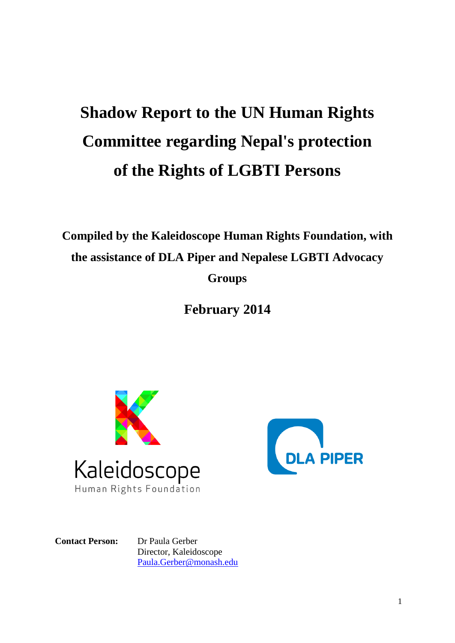# **Shadow Report to the UN Human Rights Committee regarding Nepal's protection of the Rights of LGBTI Persons**

**Compiled by the Kaleidoscope Human Rights Foundation, with the assistance of DLA Piper and Nepalese LGBTI Advocacy Groups**

**February 2014**





**Contact Person:** Dr Paula Gerber Director, Kaleidoscope [Paula.Gerber@monash.edu](mailto:Paula.Gerber@monash.edu)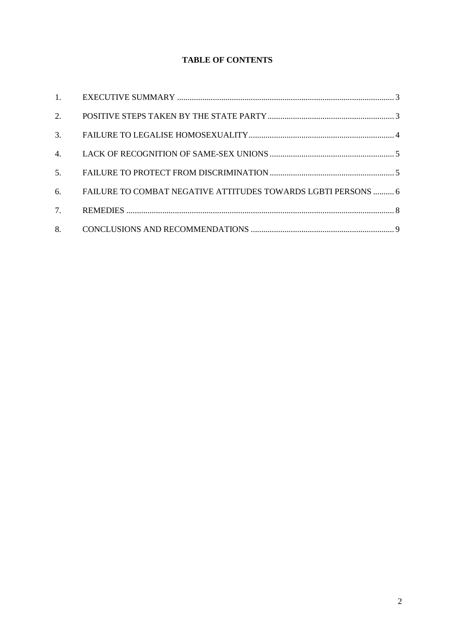# **TABLE OF CONTENTS**

| 2.             |                                                               |  |
|----------------|---------------------------------------------------------------|--|
| 3.             |                                                               |  |
|                |                                                               |  |
| 5 <sub>1</sub> |                                                               |  |
| 6.             | FAILURE TO COMBAT NEGATIVE ATTITUDES TOWARDS LGBTI PERSONS  6 |  |
| 7.             |                                                               |  |
| 8.             |                                                               |  |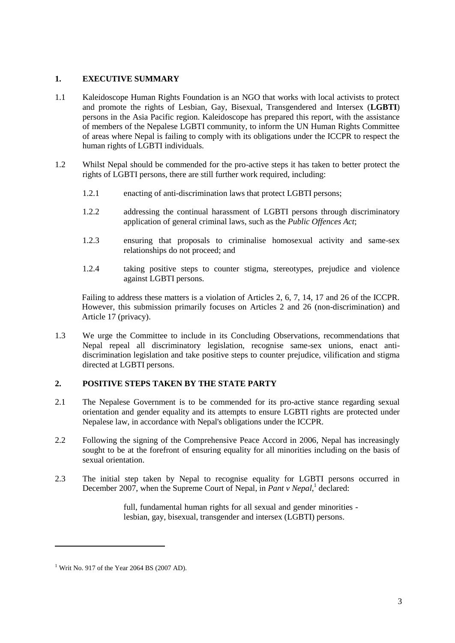### <span id="page-2-0"></span>**1. EXECUTIVE SUMMARY**

- 1.1 Kaleidoscope Human Rights Foundation is an NGO that works with local activists to protect and promote the rights of Lesbian, Gay, Bisexual, Transgendered and Intersex (**LGBTI**) persons in the Asia Pacific region. Kaleidoscope has prepared this report, with the assistance of members of the Nepalese LGBTI community, to inform the UN Human Rights Committee of areas where Nepal is failing to comply with its obligations under the ICCPR to respect the human rights of LGBTI individuals.
- 1.2 Whilst Nepal should be commended for the pro-active steps it has taken to better protect the rights of LGBTI persons, there are still further work required, including:
	- 1.2.1 enacting of anti-discrimination laws that protect LGBTI persons;
	- 1.2.2 addressing the continual harassment of LGBTI persons through discriminatory application of general criminal laws, such as the *Public Offences Act*;
	- 1.2.3 ensuring that proposals to criminalise homosexual activity and same-sex relationships do not proceed; and
	- 1.2.4 taking positive steps to counter stigma, stereotypes, prejudice and violence against LGBTI persons.

Failing to address these matters is a violation of Articles 2, 6, 7, 14, 17 and 26 of the ICCPR. However, this submission primarily focuses on Articles 2 and 26 (non-discrimination) and Article 17 (privacy).

1.3 We urge the Committee to include in its Concluding Observations, recommendations that Nepal repeal all discriminatory legislation, recognise same-sex unions, enact antidiscrimination legislation and take positive steps to counter prejudice, vilification and stigma directed at LGBTI persons.

# <span id="page-2-1"></span>**2. POSITIVE STEPS TAKEN BY THE STATE PARTY**

- 2.1 The Nepalese Government is to be commended for its pro-active stance regarding sexual orientation and gender equality and its attempts to ensure LGBTI rights are protected under Nepalese law, in accordance with Nepal's obligations under the ICCPR.
- 2.2 Following the signing of the Comprehensive Peace Accord in 2006, Nepal has increasingly sought to be at the forefront of ensuring equality for all minorities including on the basis of sexual orientation.
- 2.3 The initial step taken by Nepal to recognise equality for LGBTI persons occurred in December 2007, when the Supreme Court of Nepal, in *Pant v Nepal*, 1 declared:

full, fundamental human rights for all sexual and gender minorities lesbian, gay, bisexual, transgender and intersex (LGBTI) persons.

1

 $<sup>1</sup>$  Writ No. 917 of the Year 2064 BS (2007 AD).</sup>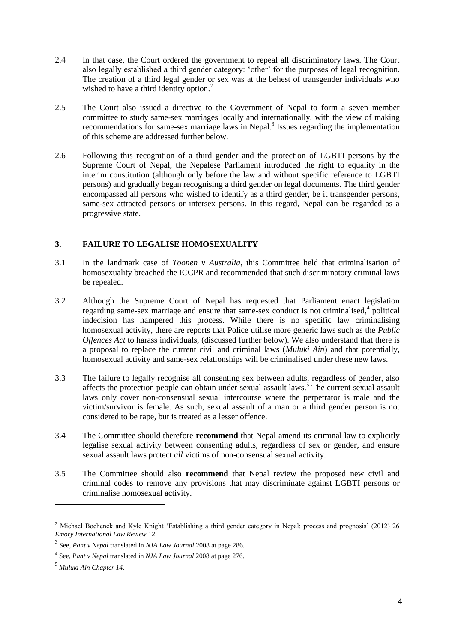- 2.4 In that case, the Court ordered the government to repeal all discriminatory laws. The Court also legally established a third gender category: 'other' for the purposes of legal recognition. The creation of a third legal gender or sex was at the behest of transgender individuals who wished to have a third identity option.<sup>2</sup>
- 2.5 The Court also issued a directive to the Government of Nepal to form a seven member committee to study same-sex marriages locally and internationally, with the view of making recommendations for same-sex marriage laws in Nepal.<sup>3</sup> Issues regarding the implementation of this scheme are addressed further below.
- 2.6 Following this recognition of a third gender and the protection of LGBTI persons by the Supreme Court of Nepal, the Nepalese Parliament introduced the right to equality in the interim constitution (although only before the law and without specific reference to LGBTI persons) and gradually began recognising a third gender on legal documents. The third gender encompassed all persons who wished to identify as a third gender, be it transgender persons, same-sex attracted persons or intersex persons. In this regard, Nepal can be regarded as a progressive state.

# <span id="page-3-0"></span>**3. FAILURE TO LEGALISE HOMOSEXUALITY**

- 3.1 In the landmark case of *Toonen v Australia*, this Committee held that criminalisation of homosexuality breached the ICCPR and recommended that such discriminatory criminal laws be repealed.
- 3.2 Although the Supreme Court of Nepal has requested that Parliament enact legislation regarding same-sex marriage and ensure that same-sex conduct is not criminalised,<sup>4</sup> political indecision has hampered this process. While there is no specific law criminalising homosexual activity, there are reports that Police utilise more generic laws such as the *Public Offences Act* to harass individuals, (discussed further below). We also understand that there is a proposal to replace the current civil and criminal laws (*Muluki Ain*) and that potentially, homosexual activity and same-sex relationships will be criminalised under these new laws.
- 3.3 The failure to legally recognise all consenting sex between adults, regardless of gender, also affects the protection people can obtain under sexual assault laws.<sup>5</sup> The current sexual assault laws only cover non-consensual sexual intercourse where the perpetrator is male and the victim/survivor is female. As such, sexual assault of a man or a third gender person is not considered to be rape, but is treated as a lesser offence.
- 3.4 The Committee should therefore **recommend** that Nepal amend its criminal law to explicitly legalise sexual activity between consenting adults, regardless of sex or gender, and ensure sexual assault laws protect *all* victims of non-consensual sexual activity.
- 3.5 The Committee should also **recommend** that Nepal review the proposed new civil and criminal codes to remove any provisions that may discriminate against LGBTI persons or criminalise homosexual activity.

<sup>&</sup>lt;sup>2</sup> Michael Bochenek and Kyle Knight 'Establishing a third gender category in Nepal: process and prognosis' (2012) 26 *Emory International Law Review* 12.

<sup>3</sup> See, *Pant v Nepal* translated in *NJA Law Journal* 2008 at page 286.

<sup>4</sup> See, *Pant v Nepal* translated in *NJA Law Journal* 2008 at page 276.

<sup>5</sup> *Muluki Ain Chapter 14.*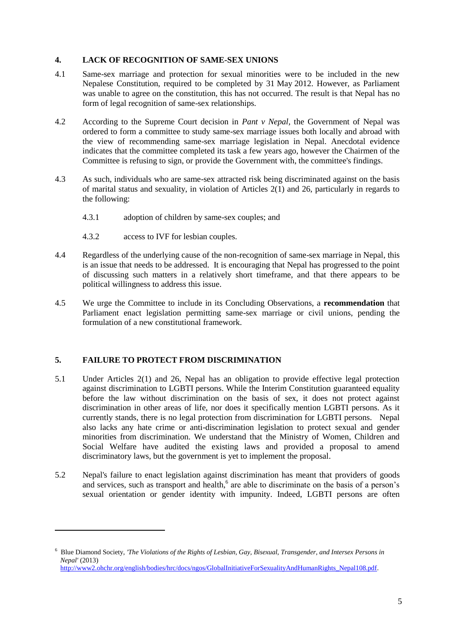#### <span id="page-4-0"></span>**4. LACK OF RECOGNITION OF SAME-SEX UNIONS**

- 4.1 Same-sex marriage and protection for sexual minorities were to be included in the new Nepalese Constitution, required to be completed by 31 May 2012. However, as Parliament was unable to agree on the constitution, this has not occurred. The result is that Nepal has no form of legal recognition of same-sex relationships.
- 4.2 According to the Supreme Court decision in *Pant v Nepal,* the Government of Nepal was ordered to form a committee to study same-sex marriage issues both locally and abroad with the view of recommending same-sex marriage legislation in Nepal. Anecdotal evidence indicates that the committee completed its task a few years ago, however the Chairmen of the Committee is refusing to sign, or provide the Government with, the committee's findings.
- 4.3 As such, individuals who are same-sex attracted risk being discriminated against on the basis of marital status and sexuality, in violation of Articles 2(1) and 26, particularly in regards to the following:
	- 4.3.1 adoption of children by same-sex couples; and
	- 4.3.2 access to IVF for lesbian couples.
- 4.4 Regardless of the underlying cause of the non-recognition of same-sex marriage in Nepal, this is an issue that needs to be addressed. It is encouraging that Nepal has progressed to the point of discussing such matters in a relatively short timeframe, and that there appears to be political willingness to address this issue.
- 4.5 We urge the Committee to include in its Concluding Observations, a **recommendation** that Parliament enact legislation permitting same-sex marriage or civil unions, pending the formulation of a new constitutional framework.

# <span id="page-4-1"></span>**5. FAILURE TO PROTECT FROM DISCRIMINATION**

- 5.1 Under Articles 2(1) and 26, Nepal has an obligation to provide effective legal protection against discrimination to LGBTI persons. While the Interim Constitution guaranteed equality before the law without discrimination on the basis of sex, it does not protect against discrimination in other areas of life, nor does it specifically mention LGBTI persons. As it currently stands, there is no legal protection from discrimination for LGBTI persons. Nepal also lacks any hate crime or anti-discrimination legislation to protect sexual and gender minorities from discrimination. We understand that the Ministry of Women, Children and Social Welfare have audited the existing laws and provided a proposal to amend discriminatory laws, but the government is yet to implement the proposal.
- 5.2 Nepal's failure to enact legislation against discrimination has meant that providers of goods and services, such as transport and health,<sup>6</sup> are able to discriminate on the basis of a person's sexual orientation or gender identity with impunity. Indeed, LGBTI persons are often

<sup>6</sup> Blue Diamond Society, *'The Violations of the Rights of Lesbian, Gay, Bisexual, Transgender, and Intersex Persons in Nepal'* (2013) [http://www2.ohchr.org/english/bodies/hrc/docs/ngos/GlobalInitiativeForSexualityAndHumanRights\\_Nepal108.pdf.](http://www2.ohchr.org/english/bodies/hrc/docs/ngos/GlobalInitiativeForSexualityAndHumanRights_Nepal108.pdf)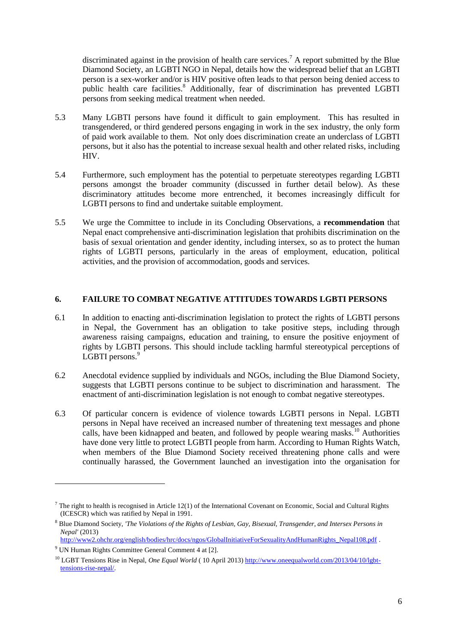discriminated against in the provision of health care services.<sup>7</sup> A report submitted by the Blue Diamond Society, an LGBTI NGO in Nepal, details how the widespread belief that an LGBTI person is a sex-worker and/or is HIV positive often leads to that person being denied access to public health care facilities.<sup>8</sup> Additionally, fear of discrimination has prevented LGBTI persons from seeking medical treatment when needed.

- 5.3 Many LGBTI persons have found it difficult to gain employment. This has resulted in transgendered, or third gendered persons engaging in work in the sex industry, the only form of paid work available to them. Not only does discrimination create an underclass of LGBTI persons, but it also has the potential to increase sexual health and other related risks, including HIV.
- 5.4 Furthermore, such employment has the potential to perpetuate stereotypes regarding LGBTI persons amongst the broader community (discussed in further detail below). As these discriminatory attitudes become more entrenched, it becomes increasingly difficult for LGBTI persons to find and undertake suitable employment.
- 5.5 We urge the Committee to include in its Concluding Observations, a **recommendation** that Nepal enact comprehensive anti-discrimination legislation that prohibits discrimination on the basis of sexual orientation and gender identity, including intersex, so as to protect the human rights of LGBTI persons, particularly in the areas of employment, education, political activities, and the provision of accommodation, goods and services.

#### <span id="page-5-0"></span>**6. FAILURE TO COMBAT NEGATIVE ATTITUDES TOWARDS LGBTI PERSONS**

- 6.1 In addition to enacting anti-discrimination legislation to protect the rights of LGBTI persons in Nepal, the Government has an obligation to take positive steps, including through awareness raising campaigns, education and training, to ensure the positive enjoyment of rights by LGBTI persons. This should include tackling harmful stereotypical perceptions of LGBTI persons.<sup>9</sup>
- 6.2 Anecdotal evidence supplied by individuals and NGOs, including the Blue Diamond Society, suggests that LGBTI persons continue to be subject to discrimination and harassment. The enactment of anti-discrimination legislation is not enough to combat negative stereotypes.
- 6.3 Of particular concern is evidence of violence towards LGBTI persons in Nepal. LGBTI persons in Nepal have received an increased number of threatening text messages and phone calls, have been kidnapped and beaten, and followed by people wearing masks.<sup>10</sup> Authorities have done very little to protect LGBTI people from harm. According to Human Rights Watch, when members of the Blue Diamond Society received threatening phone calls and were continually harassed, the Government launched an investigation into the organisation for

 $^7$  The right to health is recognised in Article 12(1) of the International Covenant on Economic, Social and Cultural Rights (ICESCR) which was ratified by Nepal in 1991.

<sup>8</sup> Blue Diamond Society, *'The Violations of the Rights of Lesbian, Gay, Bisexual, Transgender, and Intersex Persons in Nepal'* (2013)

[http://www2.ohchr.org/english/bodies/hrc/docs/ngos/GlobalInitiativeForSexualityAndHumanRights\\_Nepal108.pdf](http://www2.ohchr.org/english/bodies/hrc/docs/ngos/GlobalInitiativeForSexualityAndHumanRights_Nepal108.pdf) . <sup>9</sup> UN Human Rights Committee General Comment 4 at [2].

<sup>10</sup> LGBT Tensions Rise in Nepal, *One Equal World* ( 10 April 2013) [http://www.oneequalworld.com/2013/04/10/lgbt](http://www.oneequalworld.com/2013/04/10/lgbt-tensions-rise-nepal/)[tensions-rise-nepal/.](http://www.oneequalworld.com/2013/04/10/lgbt-tensions-rise-nepal/)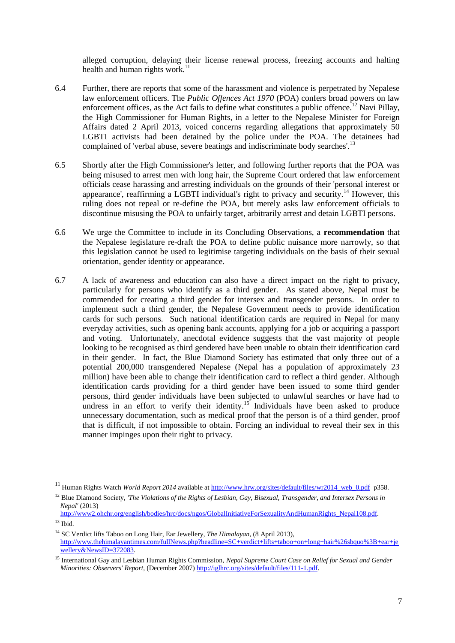alleged corruption, delaying their license renewal process, freezing accounts and halting health and human rights work.<sup>11</sup>

- 6.4 Further, there are reports that some of the harassment and violence is perpetrated by Nepalese law enforcement officers. The *Public Offences Act 1970* (POA) confers broad powers on law enforcement offices, as the Act fails to define what constitutes a public offence.<sup>12</sup> Navi Pillay, the High Commissioner for Human Rights, in a letter to the Nepalese Minister for Foreign Affairs dated 2 April 2013, voiced concerns regarding allegations that approximately 50 LGBTI activists had been detained by the police under the POA. The detainees had complained of 'verbal abuse, severe beatings and indiscriminate body searches'.<sup>13</sup>
- 6.5 Shortly after the High Commissioner's letter, and following further reports that the POA was being misused to arrest men with long hair, the Supreme Court ordered that law enforcement officials cease harassing and arresting individuals on the grounds of their 'personal interest or appearance', reaffirming a LGBTI individual's right to privacy and security.<sup>14</sup> However, this ruling does not repeal or re-define the POA, but merely asks law enforcement officials to discontinue misusing the POA to unfairly target, arbitrarily arrest and detain LGBTI persons.
- 6.6 We urge the Committee to include in its Concluding Observations, a **recommendation** that the Nepalese legislature re-draft the POA to define public nuisance more narrowly, so that this legislation cannot be used to legitimise targeting individuals on the basis of their sexual orientation, gender identity or appearance.
- 6.7 A lack of awareness and education can also have a direct impact on the right to privacy, particularly for persons who identify as a third gender. As stated above, Nepal must be commended for creating a third gender for intersex and transgender persons. In order to implement such a third gender, the Nepalese Government needs to provide identification cards for such persons. Such national identification cards are required in Nepal for many everyday activities, such as opening bank accounts, applying for a job or acquiring a passport and voting. Unfortunately, anecdotal evidence suggests that the vast majority of people looking to be recognised as third gendered have been unable to obtain their identification card in their gender. In fact, the Blue Diamond Society has estimated that only three out of a potential 200,000 transgendered Nepalese (Nepal has a population of approximately 23 million) have been able to change their identification card to reflect a third gender. Although identification cards providing for a third gender have been issued to some third gender persons, third gender individuals have been subjected to unlawful searches or have had to undress in an effort to verify their identity.<sup>15</sup> Individuals have been asked to produce unnecessary documentation, such as medical proof that the person is of a third gender, proof that is difficult, if not impossible to obtain. Forcing an individual to reveal their sex in this manner impinges upon their right to privacy.

1

<sup>&</sup>lt;sup>11</sup> Human Rights Watch *World Report 2014* available a[t http://www.hrw.org/sites/default/files/wr2014\\_web\\_0.pdf](http://www.hrw.org/sites/default/files/wr2014_web_0.pdf) p358.

<sup>12</sup> Blue Diamond Society, *'The Violations of the Rights of Lesbian, Gay, Bisexual, Transgender, and Intersex Persons in Nepal'* (2013)

[http://www2.ohchr.org/english/bodies/hrc/docs/ngos/GlobalInitiativeForSexualityAndHumanRights\\_Nepal108.pdf.](http://www2.ohchr.org/english/bodies/hrc/docs/ngos/GlobalInitiativeForSexualityAndHumanRights_Nepal108.pdf)  $13$  Ibid.

<sup>14</sup> SC Verdict lifts Taboo on Long Hair, Ear Jewellery, *The Himalayan*, (8 April 2013), [http://www.thehimalayantimes.com/fullNews.php?headline=SC+verdict+lifts+taboo+on+long+hair%26sbquo%3B+ear+je](http://www.thehimalayantimes.com/fullNews.php?headline=SC+verdict+lifts+taboo+on+long+hair%26sbquo%3B+ear+jewellery&NewsID=372083) [wellery&NewsID=372083.](http://www.thehimalayantimes.com/fullNews.php?headline=SC+verdict+lifts+taboo+on+long+hair%26sbquo%3B+ear+jewellery&NewsID=372083)

<sup>15</sup> International Gay and Lesbian Human Rights Commission, *Nepal Supreme Court Case on Relief for Sexual and Gender Minorities: Observers' Report*, (December 2007[\) http://iglhrc.org/sites/default/files/111-1.pdf.](http://iglhrc.org/sites/default/files/111-1.pdf)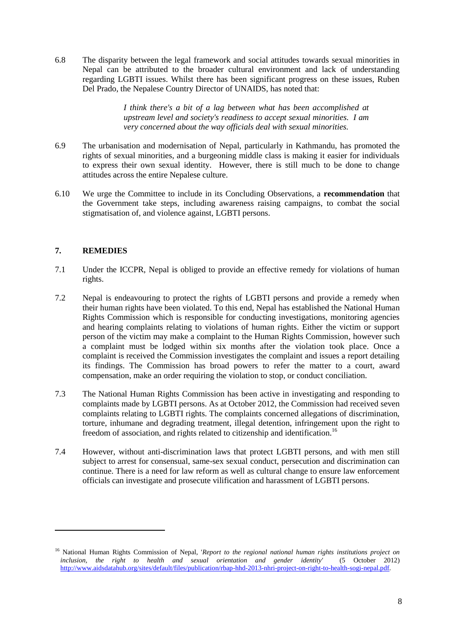6.8 The disparity between the legal framework and social attitudes towards sexual minorities in Nepal can be attributed to the broader cultural environment and lack of understanding regarding LGBTI issues. Whilst there has been significant progress on these issues, Ruben Del Prado, the Nepalese Country Director of UNAIDS, has noted that:

> *I think there's a bit of a lag between what has been accomplished at upstream level and society's readiness to accept sexual minorities. I am very concerned about the way officials deal with sexual minorities.*

- 6.9 The urbanisation and modernisation of Nepal, particularly in Kathmandu, has promoted the rights of sexual minorities, and a burgeoning middle class is making it easier for individuals to express their own sexual identity. However, there is still much to be done to change attitudes across the entire Nepalese culture.
- 6.10 We urge the Committee to include in its Concluding Observations, a **recommendation** that the Government take steps, including awareness raising campaigns, to combat the social stigmatisation of, and violence against, LGBTI persons.

# <span id="page-7-0"></span>**7. REMEDIES**

- 7.1 Under the ICCPR, Nepal is obliged to provide an effective remedy for violations of human rights.
- 7.2 Nepal is endeavouring to protect the rights of LGBTI persons and provide a remedy when their human rights have been violated. To this end, Nepal has established the National Human Rights Commission which is responsible for conducting investigations, monitoring agencies and hearing complaints relating to violations of human rights. Either the victim or support person of the victim may make a complaint to the Human Rights Commission, however such a complaint must be lodged within six months after the violation took place. Once a complaint is received the Commission investigates the complaint and issues a report detailing its findings. The Commission has broad powers to refer the matter to a court, award compensation, make an order requiring the violation to stop, or conduct conciliation.
- 7.3 The National Human Rights Commission has been active in investigating and responding to complaints made by LGBTI persons. As at October 2012, the Commission had received seven complaints relating to LGBTI rights. The complaints concerned allegations of discrimination, torture, inhumane and degrading treatment, illegal detention, infringement upon the right to freedom of association, and rights related to citizenship and identification.<sup>16</sup>
- 7.4 However, without anti-discrimination laws that protect LGBTI persons, and with men still subject to arrest for consensual, same-sex sexual conduct, persecution and discrimination can continue. There is a need for law reform as well as cultural change to ensure law enforcement officials can investigate and prosecute vilification and harassment of LGBTI persons.

<sup>16</sup> National Human Rights Commission of Nepal, '*Report to the regional national human rights institutions project on inclusion, the right to health and sexual orientation and gender identity'* [http://www.aidsdatahub.org/sites/default/files/publication/rbap-hhd-2013-nhri-project-on-right-to-health-sogi-nepal.pdf.](http://www.aidsdatahub.org/sites/default/files/publication/rbap-hhd-2013-nhri-project-on-right-to-health-sogi-nepal.pdf)